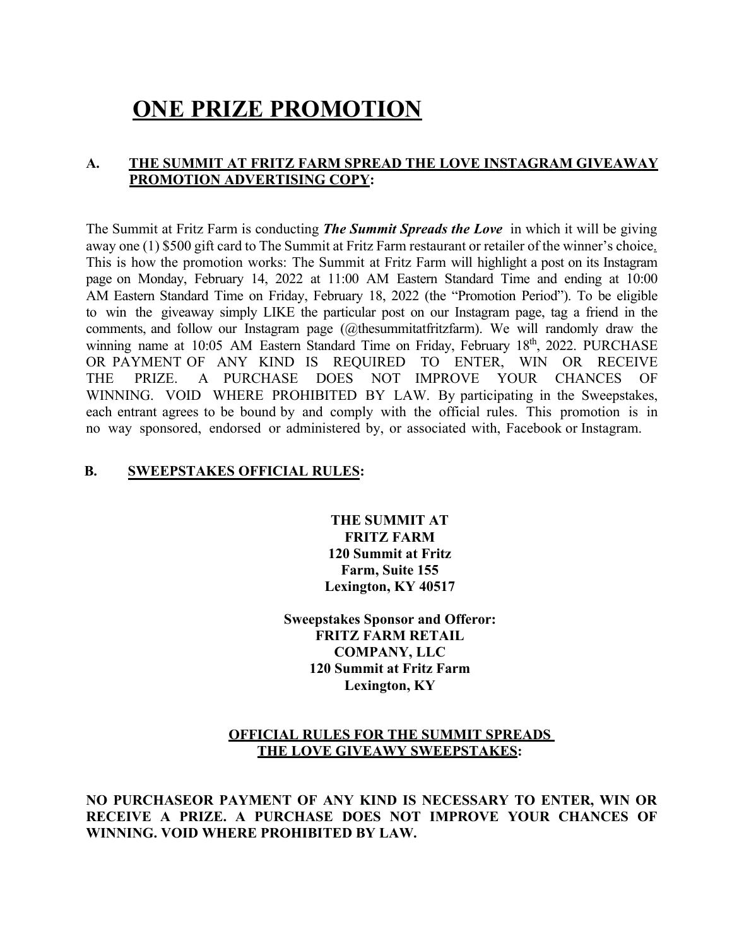# **ONE PRIZE PROMOTION**

# **A. THE SUMMIT AT FRITZ FARM SPREAD THE LOVE INSTAGRAM GIVEAWAY PROMOTION ADVERTISING COPY:**

The Summit at Fritz Farm is conducting *The Summit Spreads the Love* in which it will be giving away one (1) \$500 gift card to The Summit at Fritz Farm restaurant or retailer of the winner's choice. This is how the promotion works: The Summit at Fritz Farm will highlight a post on its Instagram page on Monday, February 14, 2022 at 11:00 AM Eastern Standard Time and ending at 10:00 AM Eastern Standard Time on Friday, February 18, 2022 (the "Promotion Period"). To be eligible to win the giveaway simply LIKE the particular post on our Instagram page, tag a friend in the comments, and follow our Instagram page (@thesummitatfritzfarm). We will randomly draw the winning name at 10:05 AM Eastern Standard Time on Friday, February 18<sup>th</sup>, 2022. PURCHASE OR PAYMENT OF ANY KIND IS REQUIRED TO ENTER, WIN OR RECEIVE THE PRIZE. A PURCHASE DOES NOT IMPROVE YOUR CHANCES OF WINNING. VOID WHERE PROHIBITED BY LAW. By participating in the Sweepstakes, each entrant agrees to be bound by and comply with the official rules. This promotion is in no way sponsored, endorsed or administered by, or associated with, Facebook or Instagram.

## **B. SWEEPSTAKES OFFICIAL RULES:**

**THE SUMMIT AT FRITZ FARM 120 Summit at Fritz Farm, Suite 155 Lexington, KY 40517** 

**Sweepstakes Sponsor and Offeror: FRITZ FARM RETAIL COMPANY, LLC 120 Summit at Fritz Farm Lexington, KY** 

## **OFFICIAL RULES FOR THE SUMMIT SPREADS THE LOVE GIVEAWY SWEEPSTAKES:**

**NO PURCHASEOR PAYMENT OF ANY KIND IS NECESSARY TO ENTER, WIN OR RECEIVE A PRIZE. A PURCHASE DOES NOT IMPROVE YOUR CHANCES OF WINNING. VOID WHERE PROHIBITED BY LAW.**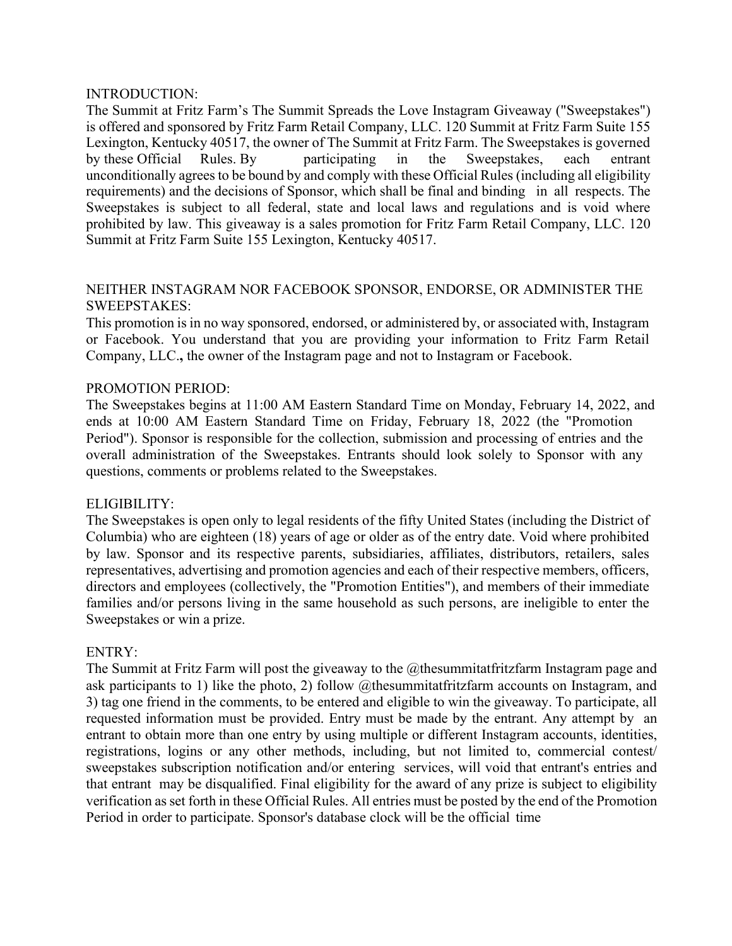#### INTRODUCTION:

The Summit at Fritz Farm's The Summit Spreads the Love Instagram Giveaway ("Sweepstakes") is offered and sponsored by Fritz Farm Retail Company, LLC. 120 Summit at Fritz Farm Suite 155 Lexington, Kentucky 40517, the owner of The Summit at Fritz Farm. The Sweepstakes is governed by these Official Rules. By participating in the Sweepstakes, each entrant unconditionally agrees to be bound by and comply with these Official Rules (including all eligibility requirements) and the decisions of Sponsor, which shall be final and binding in all respects. The Sweepstakes is subject to all federal, state and local laws and regulations and is void where prohibited by law. This giveaway is a sales promotion for Fritz Farm Retail Company, LLC. 120 Summit at Fritz Farm Suite 155 Lexington, Kentucky 40517.

## NEITHER INSTAGRAM NOR FACEBOOK SPONSOR, ENDORSE, OR ADMINISTER THE SWEEPSTAKES:

This promotion is in no way sponsored, endorsed, or administered by, or associated with, Instagram or Facebook. You understand that you are providing your information to Fritz Farm Retail Company, LLC.**,** the owner of the Instagram page and not to Instagram or Facebook.

## PROMOTION PERIOD:

The Sweepstakes begins at 11:00 AM Eastern Standard Time on Monday, February 14, 2022, and ends at 10:00 AM Eastern Standard Time on Friday, February 18, 2022 (the "Promotion Period"). Sponsor is responsible for the collection, submission and processing of entries and the overall administration of the Sweepstakes. Entrants should look solely to Sponsor with any questions, comments or problems related to the Sweepstakes.

## ELIGIBILITY:

The Sweepstakes is open only to legal residents of the fifty United States (including the District of Columbia) who are eighteen (18) years of age or older as of the entry date. Void where prohibited by law. Sponsor and its respective parents, subsidiaries, affiliates, distributors, retailers, sales representatives, advertising and promotion agencies and each of their respective members, officers, directors and employees (collectively, the "Promotion Entities"), and members of their immediate families and/or persons living in the same household as such persons, are ineligible to enter the Sweepstakes or win a prize.

## ENTRY:

The Summit at Fritz Farm will post the giveaway to the @thesummitatfritzfarm Instagram page and ask participants to 1) like the photo, 2) follow @thesummitatfritzfarm accounts on Instagram, and 3) tag one friend in the comments, to be entered and eligible to win the giveaway. To participate, all requested information must be provided. Entry must be made by the entrant. Any attempt by an entrant to obtain more than one entry by using multiple or different Instagram accounts, identities, registrations, logins or any other methods, including, but not limited to, commercial contest/ sweepstakes subscription notification and/or entering services, will void that entrant's entries and that entrant may be disqualified. Final eligibility for the award of any prize is subject to eligibility verification asset forth in these Official Rules. All entries must be posted by the end of the Promotion Period in order to participate. Sponsor's database clock will be the official time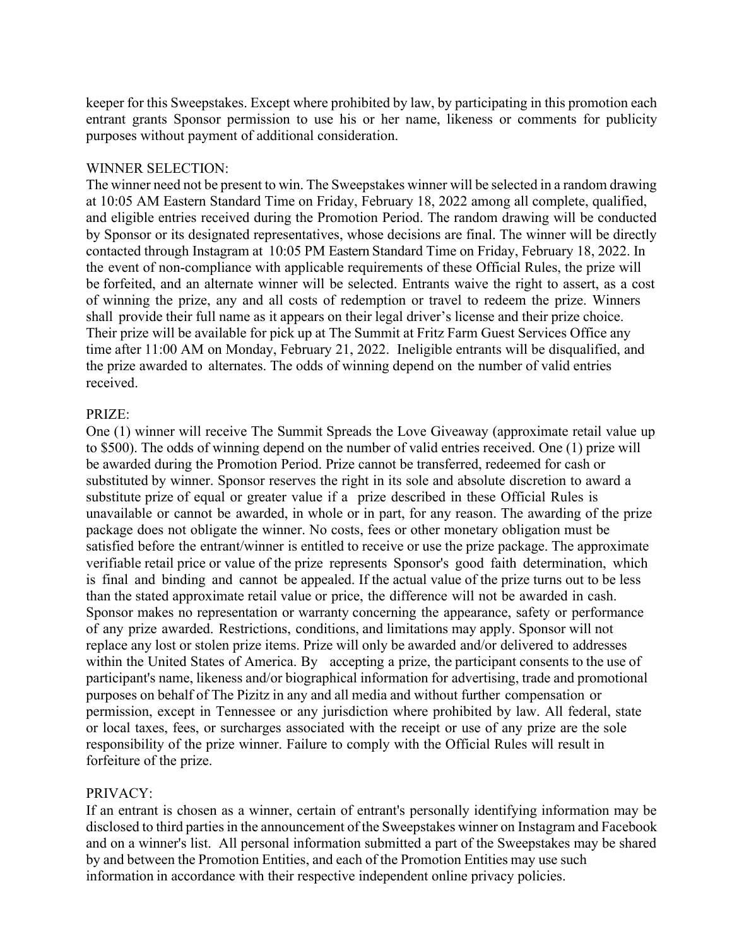keeper for this Sweepstakes. Except where prohibited by law, by participating in this promotion each entrant grants Sponsor permission to use his or her name, likeness or comments for publicity purposes without payment of additional consideration.

#### WINNER SELECTION:

The winner need not be present to win. The Sweepstakes winner will be selected in a random drawing at 10:05 AM Eastern Standard Time on Friday, February 18, 2022 among all complete, qualified, and eligible entries received during the Promotion Period. The random drawing will be conducted by Sponsor or its designated representatives, whose decisions are final. The winner will be directly contacted through Instagram at 10:05 PM Eastern Standard Time on Friday, February 18, 2022. In the event of non-compliance with applicable requirements of these Official Rules, the prize will be forfeited, and an alternate winner will be selected. Entrants waive the right to assert, as a cost of winning the prize, any and all costs of redemption or travel to redeem the prize. Winners shall provide their full name as it appears on their legal driver's license and their prize choice. Their prize will be available for pick up at The Summit at Fritz Farm Guest Services Office any time after 11:00 AM on Monday, February 21, 2022. Ineligible entrants will be disqualified, and the prize awarded to alternates. The odds of winning depend on the number of valid entries received.

#### PRIZE:

One (1) winner will receive The Summit Spreads the Love Giveaway (approximate retail value up to \$500). The odds of winning depend on the number of valid entries received. One (1) prize will be awarded during the Promotion Period. Prize cannot be transferred, redeemed for cash or substituted by winner. Sponsor reserves the right in its sole and absolute discretion to award a substitute prize of equal or greater value if a prize described in these Official Rules is unavailable or cannot be awarded, in whole or in part, for any reason. The awarding of the prize package does not obligate the winner. No costs, fees or other monetary obligation must be satisfied before the entrant/winner is entitled to receive or use the prize package. The approximate verifiable retail price or value of the prize represents Sponsor's good faith determination, which is final and binding and cannot be appealed. If the actual value of the prize turns out to be less than the stated approximate retail value or price, the difference will not be awarded in cash. Sponsor makes no representation or warranty concerning the appearance, safety or performance of any prize awarded. Restrictions, conditions, and limitations may apply. Sponsor will not replace any lost or stolen prize items. Prize will only be awarded and/or delivered to addresses within the United States of America. By accepting a prize, the participant consents to the use of participant's name, likeness and/or biographical information for advertising, trade and promotional purposes on behalf of The Pizitz in any and all media and without further compensation or permission, except in Tennessee or any jurisdiction where prohibited by law. All federal, state or local taxes, fees, or surcharges associated with the receipt or use of any prize are the sole responsibility of the prize winner. Failure to comply with the Official Rules will result in forfeiture of the prize.

#### PRIVACY:

If an entrant is chosen as a winner, certain of entrant's personally identifying information may be disclosed to third parties in the announcement of the Sweepstakes winner on Instagram and Facebook and on a winner's list. All personal information submitted a part of the Sweepstakes may be shared by and between the Promotion Entities, and each of the Promotion Entities may use such information in accordance with their respective independent online privacy policies.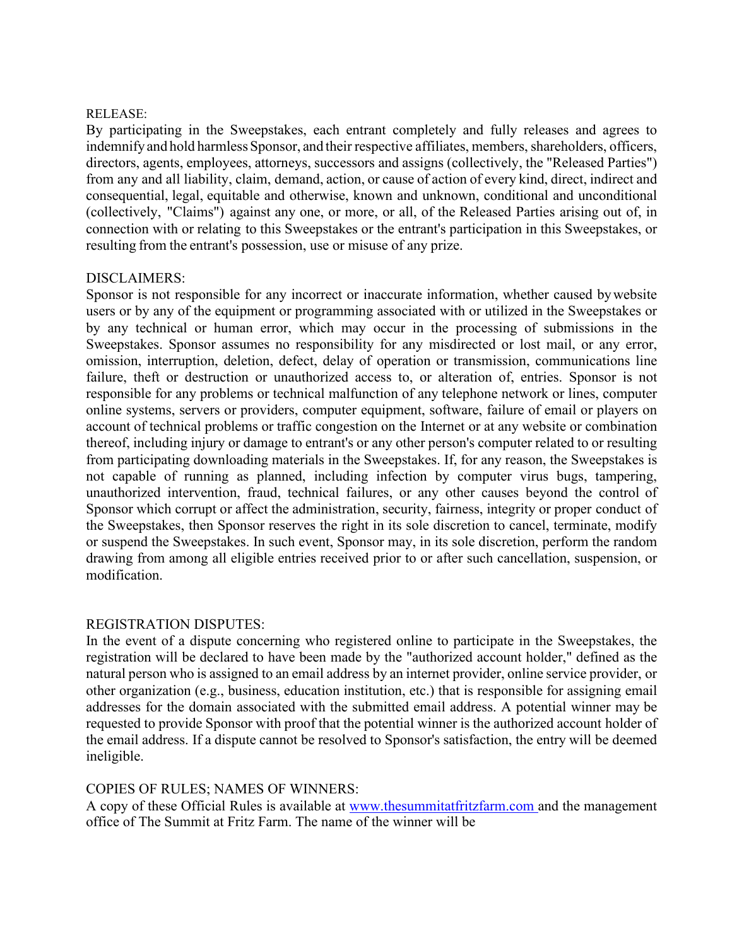#### RELEASE:

By participating in the Sweepstakes, each entrant completely and fully releases and agrees to indemnify and hold harmless Sponsor, and their respective affiliates, members, shareholders, officers, directors, agents, employees, attorneys, successors and assigns (collectively, the "Released Parties") from any and all liability, claim, demand, action, or cause of action of every kind, direct, indirect and consequential, legal, equitable and otherwise, known and unknown, conditional and unconditional (collectively, "Claims") against any one, or more, or all, of the Released Parties arising out of, in connection with or relating to this Sweepstakes or the entrant's participation in this Sweepstakes, or resulting from the entrant's possession, use or misuse of any prize.

#### DISCLAIMERS:

Sponsor is not responsible for any incorrect or inaccurate information, whether caused bywebsite users or by any of the equipment or programming associated with or utilized in the Sweepstakes or by any technical or human error, which may occur in the processing of submissions in the Sweepstakes. Sponsor assumes no responsibility for any misdirected or lost mail, or any error, omission, interruption, deletion, defect, delay of operation or transmission, communications line failure, theft or destruction or unauthorized access to, or alteration of, entries. Sponsor is not responsible for any problems or technical malfunction of any telephone network or lines, computer online systems, servers or providers, computer equipment, software, failure of email or players on account of technical problems or traffic congestion on the Internet or at any website or combination thereof, including injury or damage to entrant's or any other person's computer related to or resulting from participating downloading materials in the Sweepstakes. If, for any reason, the Sweepstakes is not capable of running as planned, including infection by computer virus bugs, tampering, unauthorized intervention, fraud, technical failures, or any other causes beyond the control of Sponsor which corrupt or affect the administration, security, fairness, integrity or proper conduct of the Sweepstakes, then Sponsor reserves the right in its sole discretion to cancel, terminate, modify or suspend the Sweepstakes. In such event, Sponsor may, in its sole discretion, perform the random drawing from among all eligible entries received prior to or after such cancellation, suspension, or modification.

## REGISTRATION DISPUTES:

In the event of a dispute concerning who registered online to participate in the Sweepstakes, the registration will be declared to have been made by the "authorized account holder," defined as the natural person who is assigned to an email address by an internet provider, online service provider, or other organization (e.g., business, education institution, etc.) that is responsible for assigning email addresses for the domain associated with the submitted email address. A potential winner may be requested to provide Sponsor with proof that the potential winner is the authorized account holder of the email address. If a dispute cannot be resolved to Sponsor's satisfaction, the entry will be deemed ineligible.

## COPIES OF RULES; NAMES OF WINNERS:

A copy of these Official Rules is available at www.thesummitatfritzfarm.com and the management office of The Summit at Fritz Farm. The name of the winner will be